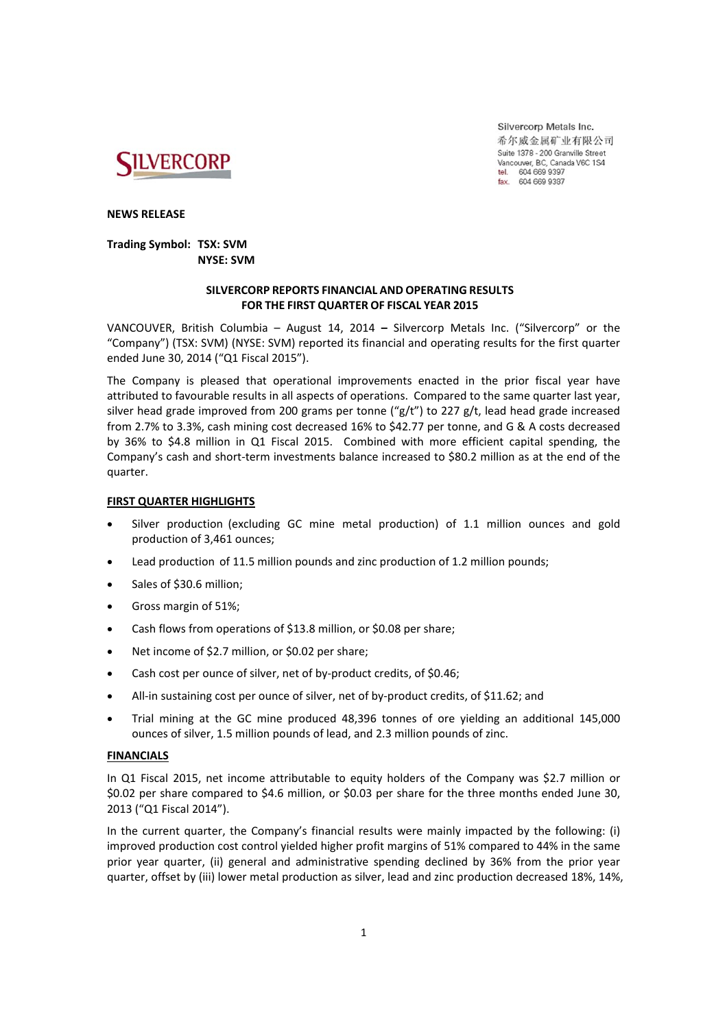

Silvercorp Metals Inc. 希尔威金属矿业有限公司 Suite 1378 - 200 Granville Street Vancouver, BC, Canada V6C 1S4 tel. 604 669 9397 fax. 604 669 9387

### **NEWS RELEASE**

### **Trading Symbol: TSX: SVM NYSE: SVM**

### **SILVERCORP REPORTS FINANCIAL AND OPERATING RESULTS FOR THE FIRST QUARTER OF FISCAL YEAR 2015**

VANCOUVER, British Columbia – August 14, 2014 **–** Silvercorp Metals Inc. ("Silvercorp" or the "Company") (TSX: SVM) (NYSE: SVM) reported its financial and operating results for the first quarter ended June 30, 2014 ("Q1 Fiscal 2015").

The Company is pleased that operational improvements enacted in the prior fiscal year have attributed to favourable results in all aspects of operations. Compared to the same quarter last year, silver head grade improved from 200 grams per tonne (" $g/t$ ") to 227  $g/t$ , lead head grade increased from 2.7% to 3.3%, cash mining cost decreased 16% to \$42.77 per tonne, and G & A costs decreased by 36% to \$4.8 million in Q1 Fiscal 2015. Combined with more efficient capital spending, the Company's cash and short‐term investments balance increased to \$80.2 million as at the end of the quarter.

### **FIRST QUARTER HIGHLIGHTS**

- Silver production (excluding GC mine metal production) of 1.1 million ounces and gold production of 3,461 ounces;
- Lead production of 11.5 million pounds and zinc production of 1.2 million pounds;
- Sales of \$30.6 million;
- Gross margin of 51%;
- Cash flows from operations of \$13.8 million, or \$0.08 per share;
- Net income of \$2.7 million, or \$0.02 per share;
- Cash cost per ounce of silver, net of by‐product credits, of \$0.46;
- All-in sustaining cost per ounce of silver, net of by-product credits, of \$11.62; and
- Trial mining at the GC mine produced 48,396 tonnes of ore yielding an additional 145,000 ounces of silver, 1.5 million pounds of lead, and 2.3 million pounds of zinc.

### **FINANCIALS**

In Q1 Fiscal 2015, net income attributable to equity holders of the Company was \$2.7 million or \$0.02 per share compared to \$4.6 million, or \$0.03 per share for the three months ended June 30, 2013 ("Q1 Fiscal 2014").

In the current quarter, the Company's financial results were mainly impacted by the following: (i) improved production cost control yielded higher profit margins of 51% compared to 44% in the same prior year quarter, (ii) general and administrative spending declined by 36% from the prior year quarter, offset by (iii) lower metal production as silver, lead and zinc production decreased 18%, 14%,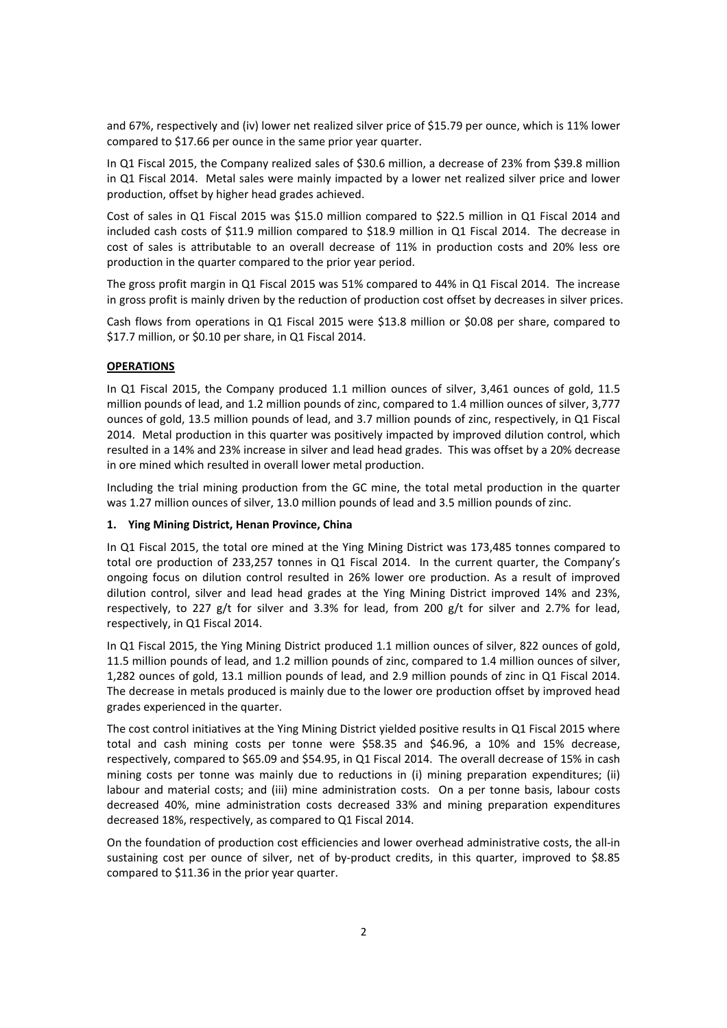and 67%, respectively and (iv) lower net realized silver price of \$15.79 per ounce, which is 11% lower compared to \$17.66 per ounce in the same prior year quarter.

In Q1 Fiscal 2015, the Company realized sales of \$30.6 million, a decrease of 23% from \$39.8 million in Q1 Fiscal 2014. Metal sales were mainly impacted by a lower net realized silver price and lower production, offset by higher head grades achieved.

Cost of sales in Q1 Fiscal 2015 was \$15.0 million compared to \$22.5 million in Q1 Fiscal 2014 and included cash costs of \$11.9 million compared to \$18.9 million in Q1 Fiscal 2014. The decrease in cost of sales is attributable to an overall decrease of 11% in production costs and 20% less ore production in the quarter compared to the prior year period.

The gross profit margin in Q1 Fiscal 2015 was 51% compared to 44% in Q1 Fiscal 2014. The increase in gross profit is mainly driven by the reduction of production cost offset by decreases in silver prices.

Cash flows from operations in Q1 Fiscal 2015 were \$13.8 million or \$0.08 per share, compared to \$17.7 million, or \$0.10 per share, in Q1 Fiscal 2014.

### **OPERATIONS**

In Q1 Fiscal 2015, the Company produced 1.1 million ounces of silver, 3,461 ounces of gold, 11.5 million pounds of lead, and 1.2 million pounds of zinc, compared to 1.4 million ounces of silver, 3,777 ounces of gold, 13.5 million pounds of lead, and 3.7 million pounds of zinc, respectively, in Q1 Fiscal 2014. Metal production in this quarter was positively impacted by improved dilution control, which resulted in a 14% and 23% increase in silver and lead head grades. This was offset by a 20% decrease in ore mined which resulted in overall lower metal production.

Including the trial mining production from the GC mine, the total metal production in the quarter was 1.27 million ounces of silver, 13.0 million pounds of lead and 3.5 million pounds of zinc.

### **1. Ying Mining District, Henan Province, China**

In Q1 Fiscal 2015, the total ore mined at the Ying Mining District was 173,485 tonnes compared to total ore production of 233,257 tonnes in Q1 Fiscal 2014. In the current quarter, the Company's ongoing focus on dilution control resulted in 26% lower ore production. As a result of improved dilution control, silver and lead head grades at the Ying Mining District improved 14% and 23%, respectively, to 227 g/t for silver and 3.3% for lead, from 200 g/t for silver and 2.7% for lead, respectively, in Q1 Fiscal 2014.

In Q1 Fiscal 2015, the Ying Mining District produced 1.1 million ounces of silver, 822 ounces of gold, 11.5 million pounds of lead, and 1.2 million pounds of zinc, compared to 1.4 million ounces of silver, 1,282 ounces of gold, 13.1 million pounds of lead, and 2.9 million pounds of zinc in Q1 Fiscal 2014. The decrease in metals produced is mainly due to the lower ore production offset by improved head grades experienced in the quarter.

The cost control initiatives at the Ying Mining District yielded positive results in Q1 Fiscal 2015 where total and cash mining costs per tonne were \$58.35 and \$46.96, a 10% and 15% decrease, respectively, compared to \$65.09 and \$54.95, in Q1 Fiscal 2014. The overall decrease of 15% in cash mining costs per tonne was mainly due to reductions in (i) mining preparation expenditures; (ii) labour and material costs; and (iii) mine administration costs. On a per tonne basis, labour costs decreased 40%, mine administration costs decreased 33% and mining preparation expenditures decreased 18%, respectively, as compared to Q1 Fiscal 2014.

On the foundation of production cost efficiencies and lower overhead administrative costs, the all‐in sustaining cost per ounce of silver, net of by-product credits, in this quarter, improved to \$8.85 compared to \$11.36 in the prior year quarter.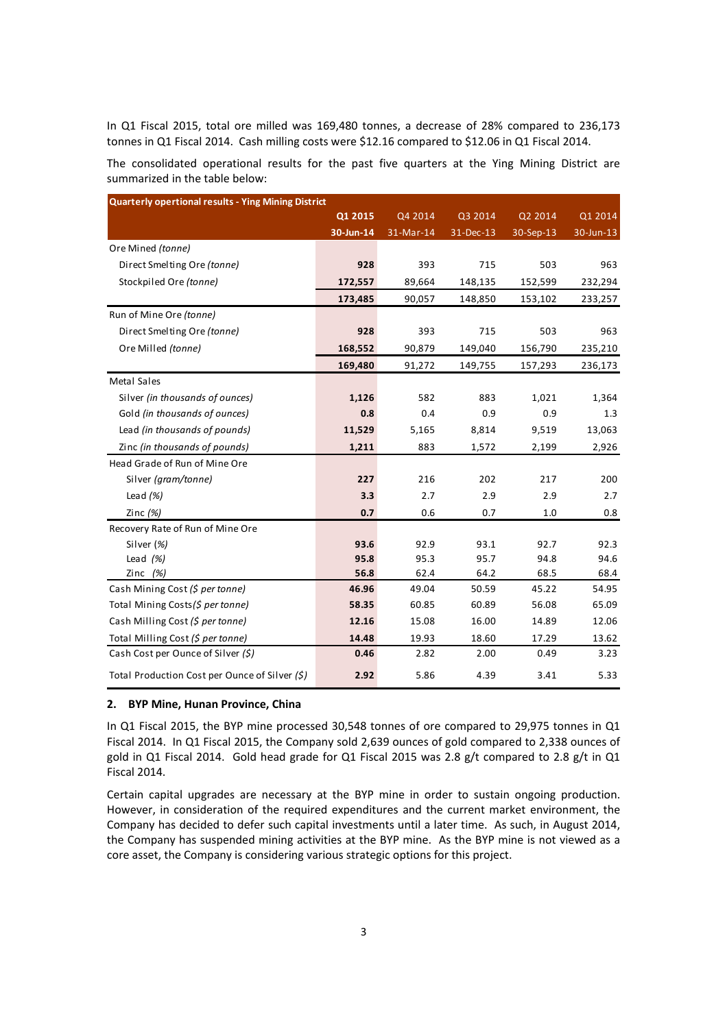In Q1 Fiscal 2015, total ore milled was 169,480 tonnes, a decrease of 28% compared to 236,173 tonnes in Q1 Fiscal 2014. Cash milling costs were \$12.16 compared to \$12.06 in Q1 Fiscal 2014.

The consolidated operational results for the past five quarters at the Ying Mining District are summarized in the table below:

| <b>Quarterly opertional results - Ying Mining District</b> |           |           |           |           |           |  |
|------------------------------------------------------------|-----------|-----------|-----------|-----------|-----------|--|
|                                                            | Q1 2015   | Q4 2014   | Q3 2014   | Q2 2014   | Q1 2014   |  |
|                                                            | 30-Jun-14 | 31-Mar-14 | 31-Dec-13 | 30-Sep-13 | 30-Jun-13 |  |
| Ore Mined (tonne)                                          |           |           |           |           |           |  |
| Direct Smelting Ore (tonne)                                | 928       | 393       | 715       | 503       | 963       |  |
| Stockpiled Ore (tonne)                                     | 172,557   | 89,664    | 148,135   | 152,599   | 232,294   |  |
|                                                            | 173,485   | 90,057    | 148,850   | 153,102   | 233,257   |  |
| Run of Mine Ore (tonne)                                    |           |           |           |           |           |  |
| Direct Smelting Ore (tonne)                                | 928       | 393       | 715       | 503       | 963       |  |
| Ore Milled (tonne)                                         | 168,552   | 90,879    | 149,040   | 156,790   | 235,210   |  |
|                                                            | 169,480   | 91,272    | 149,755   | 157,293   | 236,173   |  |
| <b>Metal Sales</b>                                         |           |           |           |           |           |  |
| Silver (in thousands of ounces)                            | 1,126     | 582       | 883       | 1,021     | 1,364     |  |
| Gold (in thousands of ounces)                              | 0.8       | 0.4       | 0.9       | 0.9       | 1.3       |  |
| Lead (in thousands of pounds)                              | 11,529    | 5,165     | 8,814     | 9,519     | 13,063    |  |
| Zinc (in thousands of pounds)                              | 1,211     | 883       | 1,572     | 2,199     | 2,926     |  |
| Head Grade of Run of Mine Ore                              |           |           |           |           |           |  |
| Silver (gram/tonne)                                        | 227       | 216       | 202       | 217       | 200       |  |
| Lead $(%)$                                                 | 3.3       | 2.7       | 2.9       | 2.9       | 2.7       |  |
| Zinc $(%)$                                                 | 0.7       | 0.6       | 0.7       | 1.0       | 0.8       |  |
| Recovery Rate of Run of Mine Ore                           |           |           |           |           |           |  |
| Silver (%)                                                 | 93.6      | 92.9      | 93.1      | 92.7      | 92.3      |  |
| Lead $(%)$                                                 | 95.8      | 95.3      | 95.7      | 94.8      | 94.6      |  |
| Zinc $(%)$                                                 | 56.8      | 62.4      | 64.2      | 68.5      | 68.4      |  |
| Cash Mining Cost (\$ per tonne)                            | 46.96     | 49.04     | 50.59     | 45.22     | 54.95     |  |
| Total Mining Costs (\$ per tonne)                          | 58.35     | 60.85     | 60.89     | 56.08     | 65.09     |  |
| Cash Milling Cost (\$ per tonne)                           | 12.16     | 15.08     | 16.00     | 14.89     | 12.06     |  |
| Total Milling Cost (\$ per tonne)                          | 14.48     | 19.93     | 18.60     | 17.29     | 13.62     |  |
| Cash Cost per Ounce of Silver (\$)                         | 0.46      | 2.82      | 2.00      | 0.49      | 3.23      |  |
| Total Production Cost per Ounce of Silver (\$)             | 2.92      | 5.86      | 4.39      | 3.41      | 5.33      |  |

### **2. BYP Mine, Hunan Province, China**

In Q1 Fiscal 2015, the BYP mine processed 30,548 tonnes of ore compared to 29,975 tonnes in Q1 Fiscal 2014. In Q1 Fiscal 2015, the Company sold 2,639 ounces of gold compared to 2,338 ounces of gold in Q1 Fiscal 2014. Gold head grade for Q1 Fiscal 2015 was 2.8 g/t compared to 2.8 g/t in Q1 Fiscal 2014.

Certain capital upgrades are necessary at the BYP mine in order to sustain ongoing production. However, in consideration of the required expenditures and the current market environment, the Company has decided to defer such capital investments until a later time. As such, in August 2014, the Company has suspended mining activities at the BYP mine. As the BYP mine is not viewed as a core asset, the Company is considering various strategic options for this project.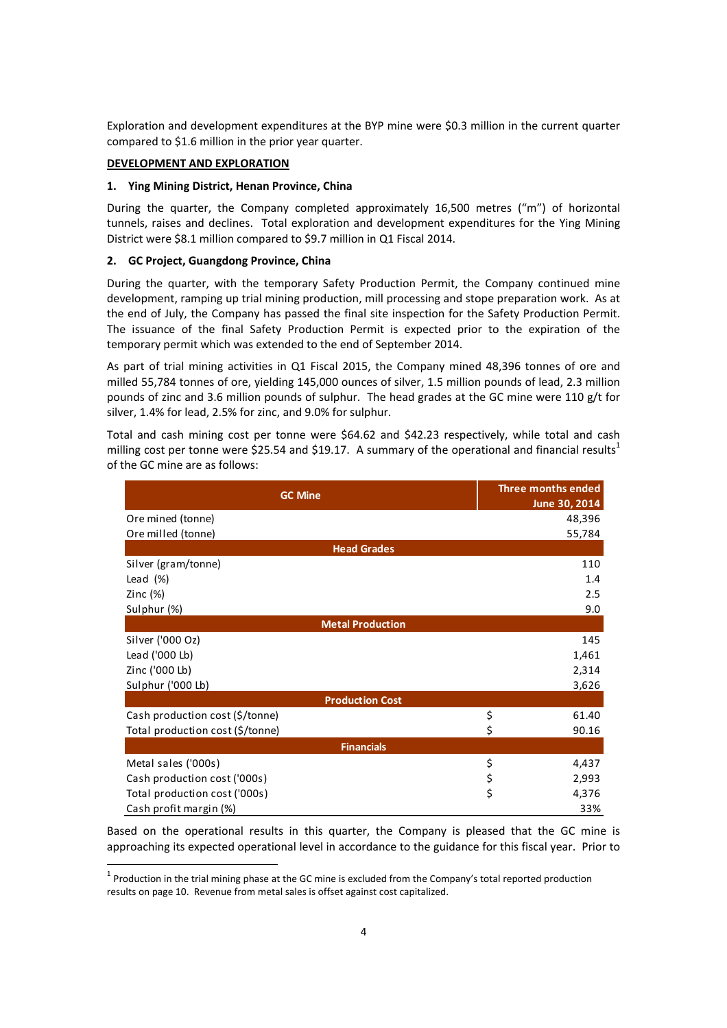Exploration and development expenditures at the BYP mine were \$0.3 million in the current quarter compared to \$1.6 million in the prior year quarter.

### **DEVELOPMENT AND EXPLORATION**

#### **1. Ying Mining District, Henan Province, China**

During the quarter, the Company completed approximately 16,500 metres ("m") of horizontal tunnels, raises and declines. Total exploration and development expenditures for the Ying Mining District were \$8.1 million compared to \$9.7 million in Q1 Fiscal 2014.

### **2. GC Project, Guangdong Province, China**

During the quarter, with the temporary Safety Production Permit, the Company continued mine development, ramping up trial mining production, mill processing and stope preparation work. As at the end of July, the Company has passed the final site inspection for the Safety Production Permit. The issuance of the final Safety Production Permit is expected prior to the expiration of the temporary permit which was extended to the end of September 2014.

As part of trial mining activities in Q1 Fiscal 2015, the Company mined 48,396 tonnes of ore and milled 55,784 tonnes of ore, yielding 145,000 ounces of silver, 1.5 million pounds of lead, 2.3 million pounds of zinc and 3.6 million pounds of sulphur. The head grades at the GC mine were 110 g/t for silver, 1.4% for lead, 2.5% for zinc, and 9.0% for sulphur.

Total and cash mining cost per tonne were \$64.62 and \$42.23 respectively, while total and cash milling cost per tonne were \$25.54 and \$19.17. A summary of the operational and financial results<sup>1</sup> of the GC mine are as follows:

| <b>GC Mine</b>                   | <b>Three months ended</b> |  |  |  |  |
|----------------------------------|---------------------------|--|--|--|--|
|                                  | June 30, 2014             |  |  |  |  |
| Ore mined (tonne)                | 48,396                    |  |  |  |  |
| Ore milled (tonne)               | 55,784                    |  |  |  |  |
| <b>Head Grades</b>               |                           |  |  |  |  |
| Silver (gram/tonne)              | 110                       |  |  |  |  |
| Lead $(\%)$                      | 1.4                       |  |  |  |  |
| Zinc $(%)$                       | 2.5                       |  |  |  |  |
| Sulphur (%)                      | 9.0                       |  |  |  |  |
| <b>Metal Production</b>          |                           |  |  |  |  |
| Silver ('000 Oz)                 | 145                       |  |  |  |  |
| Lead ('000 Lb)                   | 1,461                     |  |  |  |  |
| Zinc ('000 Lb)                   | 2,314                     |  |  |  |  |
| Sulphur ('000 Lb)                | 3,626                     |  |  |  |  |
| <b>Production Cost</b>           |                           |  |  |  |  |
| Cash production cost (\$/tonne)  | \$<br>61.40               |  |  |  |  |
| Total production cost (\$/tonne) | \$<br>90.16               |  |  |  |  |
| <b>Financials</b>                |                           |  |  |  |  |
| Metal sales ('000s)              | \$<br>4,437               |  |  |  |  |
| Cash production cost ('000s)     | \$<br>2,993               |  |  |  |  |
| Total production cost ('000s)    | \$<br>4,376               |  |  |  |  |
| Cash profit margin (%)           | 33%                       |  |  |  |  |

Based on the operational results in this quarter, the Company is pleased that the GC mine is approaching its expected operational level in accordance to the guidance for this fiscal year. Prior to

 $1$  Production in the trial mining phase at the GC mine is excluded from the Company's total reported production results on page 10. Revenue from metal sales is offset against cost capitalized.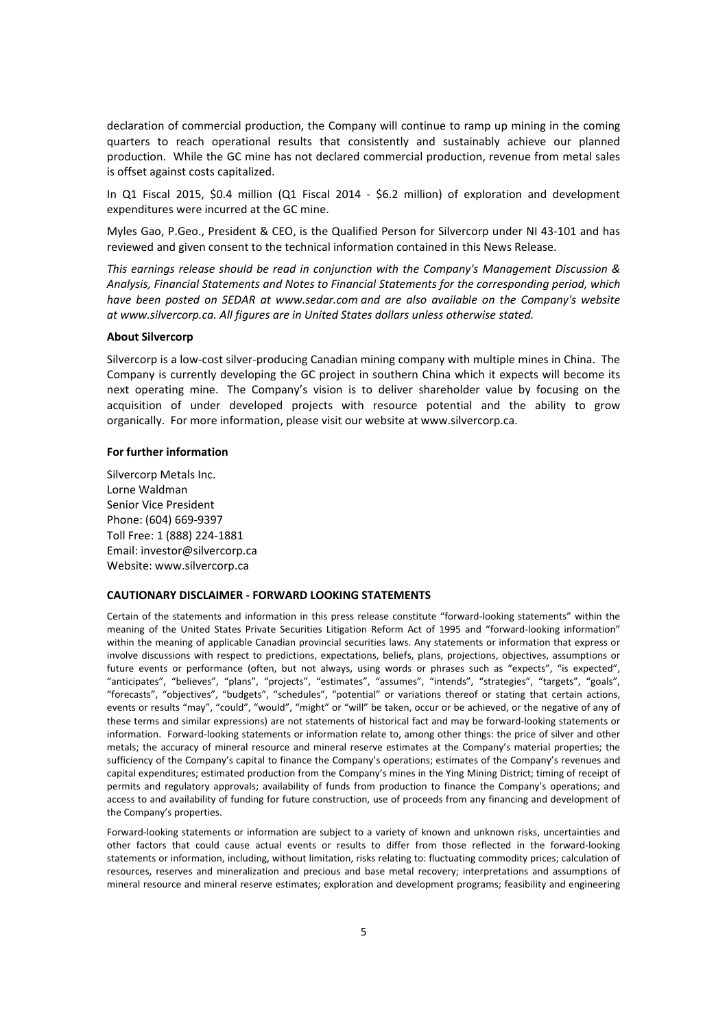declaration of commercial production, the Company will continue to ramp up mining in the coming quarters to reach operational results that consistently and sustainably achieve our planned production. While the GC mine has not declared commercial production, revenue from metal sales is offset against costs capitalized.

In Q1 Fiscal 2015, \$0.4 million (Q1 Fiscal 2014 - \$6.2 million) of exploration and development expenditures were incurred at the GC mine.

Myles Gao, P.Geo., President & CEO, is the Qualified Person for Silvercorp under NI 43‐101 and has reviewed and given consent to the technical information contained in this News Release.

*This earnings release should be read in conjunction with the Company's Management Discussion & Analysis, Financial Statements and Notes to Financial Statements for the corresponding period, which have been posted on SEDAR at www.sedar.com and are also available on the Company's website at www.silvercorp.ca. All figures are in United States dollars unless otherwise stated.*

#### **About Silvercorp**

Silvercorp is a low‐cost silver‐producing Canadian mining company with multiple mines in China. The Company is currently developing the GC project in southern China which it expects will become its next operating mine. The Company's vision is to deliver shareholder value by focusing on the acquisition of under developed projects with resource potential and the ability to grow organically. For more information, please visit our website at www.silvercorp.ca.

#### **For further information**

Silvercorp Metals Inc. Lorne Waldman Senior Vice President Phone: (604) 669‐9397 Toll Free: 1 (888) 224‐1881 Email: investor@silvercorp.ca Website: www.silvercorp.ca

#### **CAUTIONARY DISCLAIMER ‐ FORWARD LOOKING STATEMENTS**

Certain of the statements and information in this press release constitute "forward‐looking statements" within the meaning of the United States Private Securities Litigation Reform Act of 1995 and "forward-looking information" within the meaning of applicable Canadian provincial securities laws. Any statements or information that express or involve discussions with respect to predictions, expectations, beliefs, plans, projections, objectives, assumptions or future events or performance (often, but not always, using words or phrases such as "expects", "is expected", "anticipates", "believes", "plans", "projects", "estimates", "assumes", "intends", "strategies", "targets", "goals", "forecasts", "objectives", "budgets", "schedules", "potential" or variations thereof or stating that certain actions, events or results "may", "could", "would", "might" or "will" be taken, occur or be achieved, or the negative of any of these terms and similar expressions) are not statements of historical fact and may be forward‐looking statements or information. Forward‐looking statements or information relate to, among other things: the price of silver and other metals; the accuracy of mineral resource and mineral reserve estimates at the Company's material properties; the sufficiency of the Company's capital to finance the Company's operations; estimates of the Company's revenues and capital expenditures; estimated production from the Company's mines in the Ying Mining District; timing of receipt of permits and regulatory approvals; availability of funds from production to finance the Company's operations; and access to and availability of funding for future construction, use of proceeds from any financing and development of the Company's properties.

Forward‐looking statements or information are subject to a variety of known and unknown risks, uncertainties and other factors that could cause actual events or results to differ from those reflected in the forward‐looking statements or information, including, without limitation, risks relating to: fluctuating commodity prices; calculation of resources, reserves and mineralization and precious and base metal recovery; interpretations and assumptions of mineral resource and mineral reserve estimates; exploration and development programs; feasibility and engineering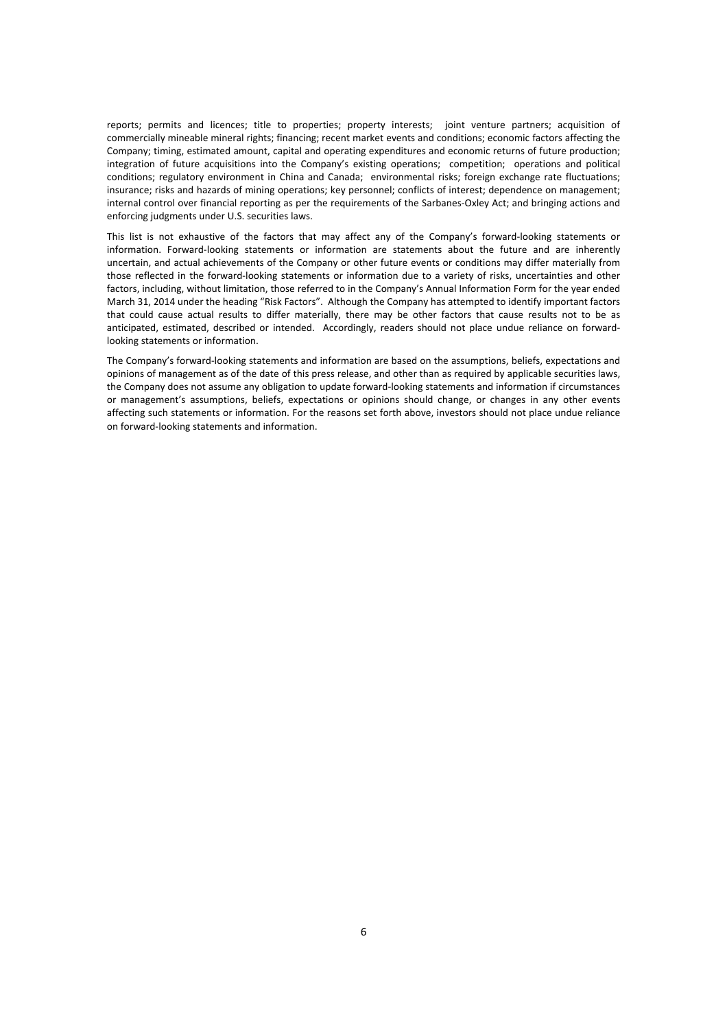reports; permits and licences; title to properties; property interests; joint venture partners; acquisition of commercially mineable mineral rights; financing; recent market events and conditions; economic factors affecting the Company; timing, estimated amount, capital and operating expenditures and economic returns of future production; integration of future acquisitions into the Company's existing operations; competition; operations and political conditions; regulatory environment in China and Canada; environmental risks; foreign exchange rate fluctuations; insurance; risks and hazards of mining operations; key personnel; conflicts of interest; dependence on management; internal control over financial reporting as per the requirements of the Sarbanes‐Oxley Act; and bringing actions and enforcing judgments under U.S. securities laws.

This list is not exhaustive of the factors that may affect any of the Company's forward‐looking statements or information. Forward-looking statements or information are statements about the future and are inherently uncertain, and actual achievements of the Company or other future events or conditions may differ materially from those reflected in the forward‐looking statements or information due to a variety of risks, uncertainties and other factors, including, without limitation, those referred to in the Company's Annual Information Form for the year ended March 31, 2014 under the heading "Risk Factors". Although the Company has attempted to identify important factors that could cause actual results to differ materially, there may be other factors that cause results not to be as anticipated, estimated, described or intended. Accordingly, readers should not place undue reliance on forwardlooking statements or information.

The Company's forward‐looking statements and information are based on the assumptions, beliefs, expectations and opinions of management as of the date of this press release, and other than as required by applicable securities laws, the Company does not assume any obligation to update forward‐looking statements and information if circumstances or management's assumptions, beliefs, expectations or opinions should change, or changes in any other events affecting such statements or information. For the reasons set forth above, investors should not place undue reliance on forward‐looking statements and information.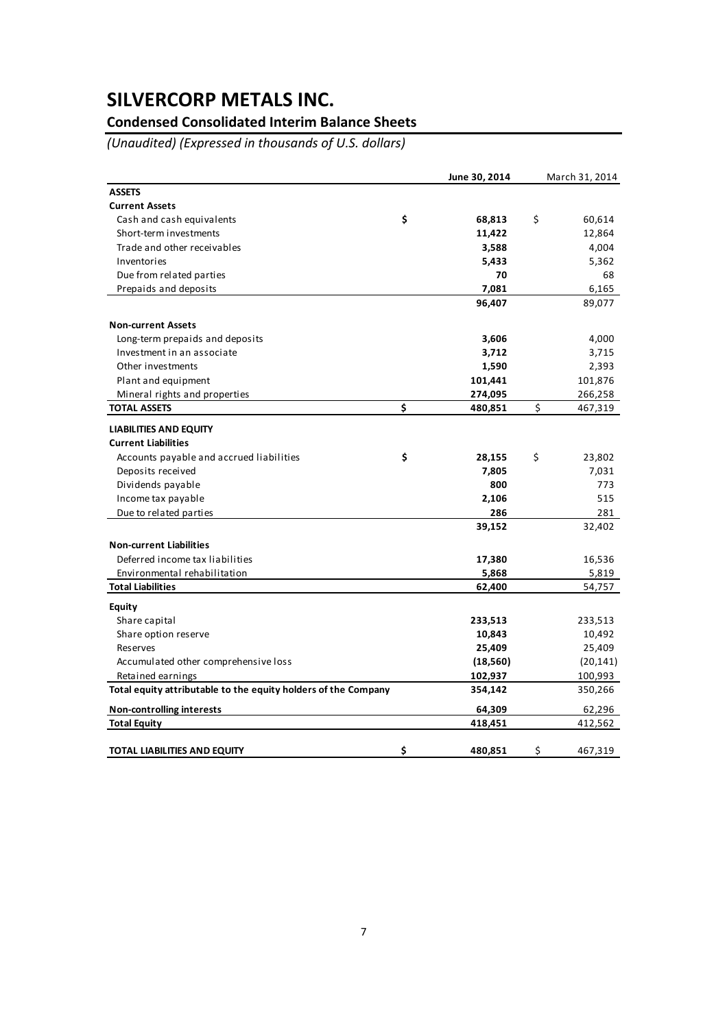### **Condensed Consolidated Interim Balance Sheets**

*(Unaudited) (Expressed in thousands of U.S. dollars)*

|                                                                | June 30, 2014 | March 31, 2014 |
|----------------------------------------------------------------|---------------|----------------|
| <b>ASSETS</b>                                                  |               |                |
| <b>Current Assets</b>                                          |               |                |
| Cash and cash equivalents                                      | \$<br>68,813  | \$<br>60,614   |
| Short-term investments                                         | 11,422        | 12,864         |
| Trade and other receivables                                    | 3,588         | 4,004          |
| Inventories                                                    | 5,433         | 5,362          |
| Due from related parties                                       | 70            | 68             |
| Prepaids and deposits                                          | 7,081         | 6,165          |
|                                                                | 96,407        | 89,077         |
| <b>Non-current Assets</b>                                      |               |                |
| Long-term prepaids and deposits                                | 3,606         | 4,000          |
| Investment in an associate                                     | 3,712         | 3,715          |
| Other investments                                              | 1,590         | 2,393          |
| Plant and equipment                                            | 101,441       | 101,876        |
| Mineral rights and properties                                  | 274,095       | 266,258        |
| <b>TOTAL ASSETS</b>                                            | \$<br>480,851 | \$<br>467,319  |
| <b>LIABILITIES AND EQUITY</b>                                  |               |                |
| <b>Current Liabilities</b>                                     |               |                |
| Accounts payable and accrued liabilities                       | \$<br>28,155  | \$<br>23,802   |
| Deposits received                                              | 7,805         | 7,031          |
| Dividends payable                                              | 800           | 773            |
| Income tax payable                                             | 2,106         | 515            |
| Due to related parties                                         | 286           | 281            |
|                                                                | 39,152        | 32,402         |
| <b>Non-current Liabilities</b>                                 |               |                |
| Deferred income tax liabilities                                | 17,380        | 16,536         |
| Environmental rehabilitation                                   | 5,868         | 5,819          |
| <b>Total Liabilities</b>                                       | 62,400        | 54,757         |
| <b>Equity</b>                                                  |               |                |
| Share capital                                                  | 233,513       | 233,513        |
| Share option reserve                                           | 10,843        | 10,492         |
| Reserves                                                       | 25,409        | 25,409         |
| Accumulated other comprehensive loss                           | (18, 560)     | (20, 141)      |
| Retained earnings                                              | 102,937       | 100,993        |
| Total equity attributable to the equity holders of the Company | 354,142       | 350,266        |
| <b>Non-controlling interests</b>                               | 64,309        | 62,296         |
| <b>Total Equity</b>                                            | 418,451       | 412,562        |
|                                                                |               |                |
| <b>TOTAL LIABILITIES AND EQUITY</b>                            | \$<br>480,851 | \$<br>467,319  |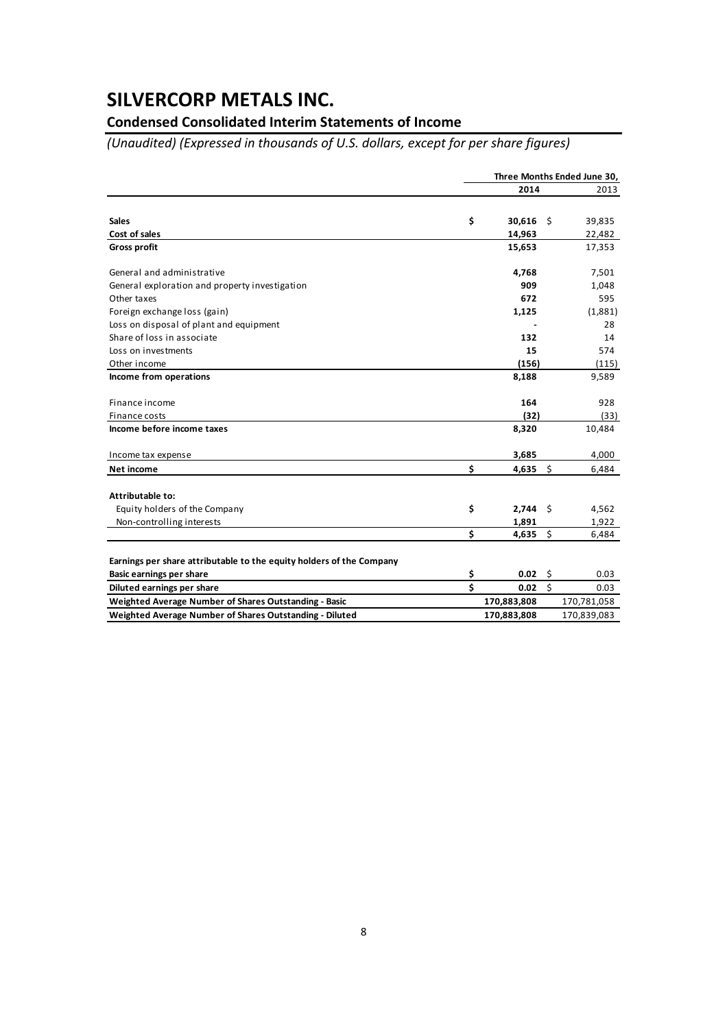### **Condensed Consolidated Interim Statements of Income**

*(Unaudited) (Expressed in thousands of U.S. dollars, except for per share figures)*

|                                                                      | Three Months Ended June 30, |             |      |             |
|----------------------------------------------------------------------|-----------------------------|-------------|------|-------------|
|                                                                      |                             | 2014        |      | 2013        |
|                                                                      |                             |             |      |             |
| <b>Sales</b>                                                         | \$                          | $30,616$ \$ |      | 39,835      |
| Cost of sales                                                        |                             | 14,963      |      | 22,482      |
| <b>Gross profit</b>                                                  |                             | 15,653      |      | 17,353      |
| General and administrative                                           |                             | 4,768       |      | 7,501       |
| General exploration and property investigation                       |                             | 909         |      | 1,048       |
| Other taxes                                                          |                             | 672         |      | 595         |
| Foreign exchange loss (gain)                                         |                             | 1,125       |      | (1,881)     |
| Loss on disposal of plant and equipment                              |                             |             |      | 28          |
| Share of loss in associate                                           |                             | 132         |      | 14          |
| Loss on investments                                                  |                             | 15          |      | 574         |
| Other income                                                         |                             | (156)       |      | (115)       |
| Income from operations                                               |                             | 8,188       |      | 9,589       |
| Finance income                                                       |                             | 164         |      | 928         |
| Finance costs                                                        |                             | (32)        |      | (33)        |
| Income before income taxes                                           |                             | 8,320       |      | 10,484      |
| Income tax expense                                                   |                             | 3,685       |      | 4,000       |
| Net income                                                           | \$                          | 4,635 \$    |      | 6,484       |
| Attributable to:                                                     |                             |             |      |             |
| Equity holders of the Company                                        | \$                          | $2,744$ \$  |      | 4,562       |
| Non-controlling interests                                            |                             | 1,891       |      | 1,922       |
|                                                                      | \$                          | 4,635 \$    |      | 6,484       |
|                                                                      |                             |             |      |             |
| Earnings per share attributable to the equity holders of the Company |                             | 0.02        | - \$ | 0.03        |
| Basic earnings per share                                             | \$<br>Ś                     | 0.02        | -\$  |             |
| Diluted earnings per share                                           |                             |             |      | 0.03        |
| Weighted Average Number of Shares Outstanding - Basic                |                             | 170,883,808 |      | 170,781,058 |
| Weighted Average Number of Shares Outstanding - Diluted              |                             | 170,883,808 |      | 170,839,083 |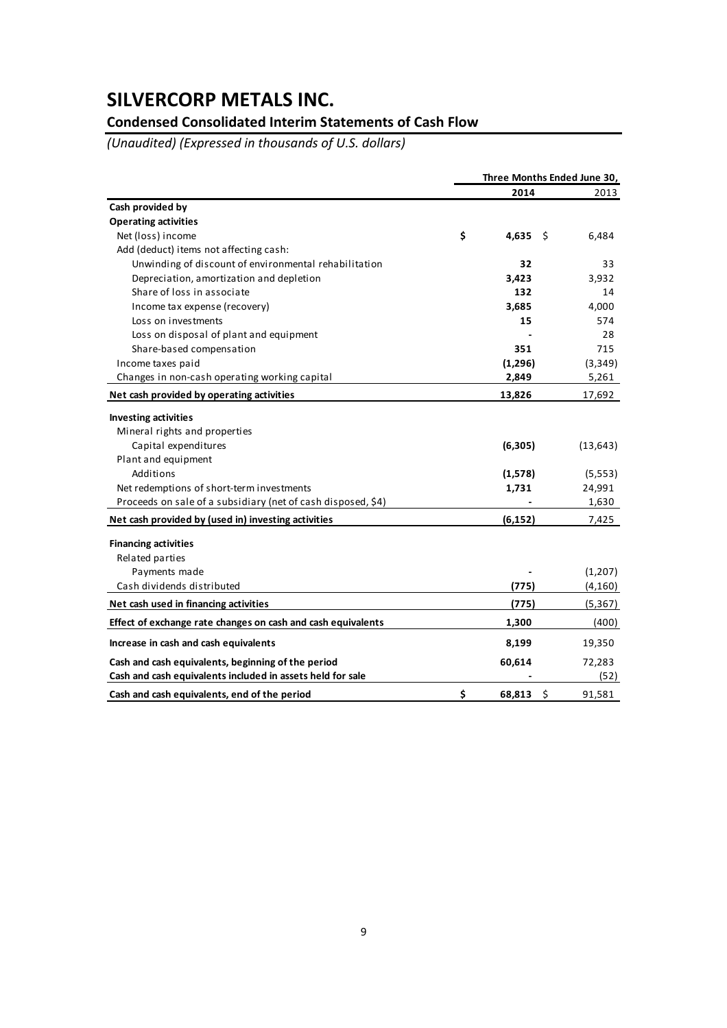### **Condensed Consolidated Interim Statements of Cash Flow**

*(Unaudited) (Expressed in thousands of U.S. dollars)*

|                                                              | Three Months Ended June 30, |              |           |
|--------------------------------------------------------------|-----------------------------|--------------|-----------|
|                                                              |                             | 2014         | 2013      |
| Cash provided by                                             |                             |              |           |
| <b>Operating activities</b>                                  |                             |              |           |
| Net (loss) income                                            | \$                          | 4,635<br>-\$ | 6,484     |
| Add (deduct) items not affecting cash:                       |                             |              |           |
| Unwinding of discount of environmental rehabilitation        |                             | 32           | 33        |
| Depreciation, amortization and depletion                     |                             | 3,423        | 3,932     |
| Share of loss in associate                                   |                             | 132          | 14        |
| Income tax expense (recovery)                                |                             | 3,685        | 4,000     |
| Loss on investments                                          |                             | 15           | 574       |
| Loss on disposal of plant and equipment                      |                             |              | 28        |
| Share-based compensation                                     |                             | 351          | 715       |
| Income taxes paid                                            |                             | (1,296)      | (3, 349)  |
| Changes in non-cash operating working capital                |                             | 2,849        | 5,261     |
| Net cash provided by operating activities                    |                             | 13,826       | 17,692    |
| <b>Investing activities</b>                                  |                             |              |           |
| Mineral rights and properties                                |                             |              |           |
| Capital expenditures                                         |                             | (6,305)      | (13, 643) |
| Plant and equipment                                          |                             |              |           |
| Additions                                                    |                             | (1,578)      | (5, 553)  |
| Net redemptions of short-term investments                    |                             | 1,731        | 24,991    |
| Proceeds on sale of a subsidiary (net of cash disposed, \$4) |                             |              | 1,630     |
| Net cash provided by (used in) investing activities          |                             | (6, 152)     | 7,425     |
| <b>Financing activities</b>                                  |                             |              |           |
| Related parties                                              |                             |              |           |
| Payments made                                                |                             |              | (1, 207)  |
| Cash dividends distributed                                   |                             | (775)        | (4, 160)  |
| Net cash used in financing activities                        |                             | (775)        | (5, 367)  |
| Effect of exchange rate changes on cash and cash equivalents |                             | 1,300        | (400)     |
| Increase in cash and cash equivalents                        |                             | 8,199        | 19,350    |
| Cash and cash equivalents, beginning of the period           |                             | 60,614       | 72,283    |
| Cash and cash equivalents included in assets held for sale   |                             |              | (52)      |
| Cash and cash equivalents, end of the period                 | \$                          | 68,813<br>\$ | 91,581    |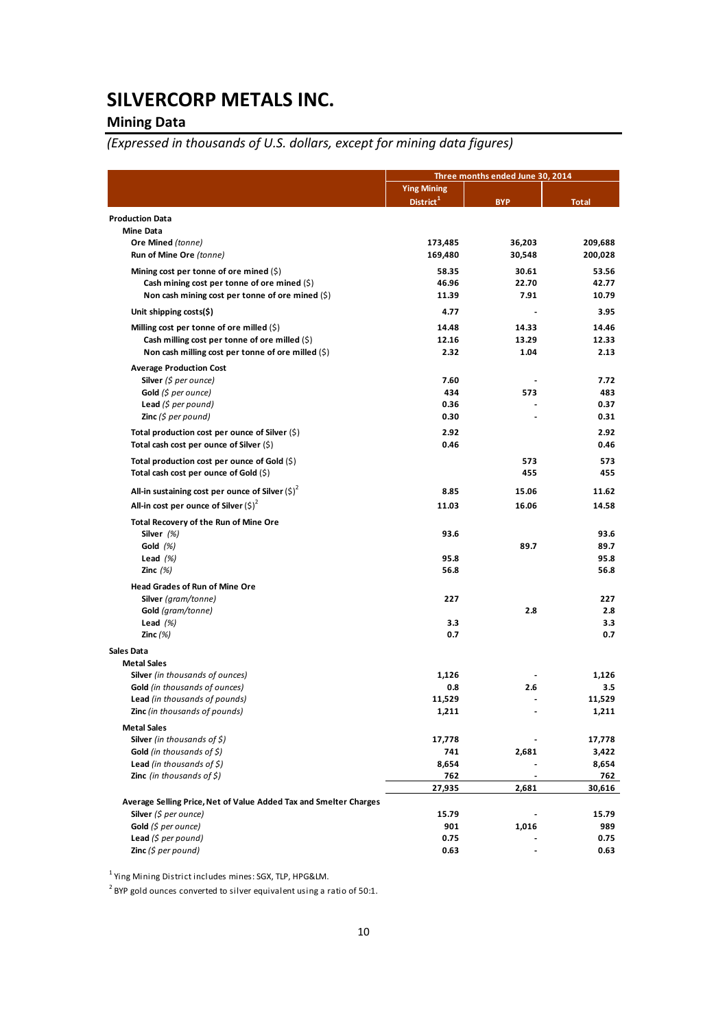### **Mining Data**

# *(Expressed in thousands of U.S. dollars, except for mining data figures)*

|                                                                   | Three months ended June 30, 2014 |            |              |  |
|-------------------------------------------------------------------|----------------------------------|------------|--------------|--|
|                                                                   | <b>Ying Mining</b>               |            |              |  |
|                                                                   | District <sup>1</sup>            | <b>BYP</b> | <b>Total</b> |  |
| <b>Production Data</b>                                            |                                  |            |              |  |
| <b>Mine Data</b>                                                  |                                  |            |              |  |
| Ore Mined (tonne)                                                 | 173,485                          | 36,203     | 209,688      |  |
| Run of Mine Ore (tonne)                                           | 169,480                          | 30,548     | 200,028      |  |
| Mining cost per tonne of ore mined (\$)                           | 58.35                            | 30.61      | 53.56        |  |
| Cash mining cost per tonne of ore mined $(\xi)$                   | 46.96                            | 22.70      | 42.77        |  |
| Non cash mining cost per tonne of ore mined $(\xi)$               | 11.39                            | 7.91       | 10.79        |  |
| Unit shipping costs(\$)                                           | 4.77                             |            | 3.95         |  |
| Milling cost per tonne of ore milled $(\xi)$                      | 14.48                            | 14.33      | 14.46        |  |
| Cash milling cost per tonne of ore milled $(\xi)$                 | 12.16                            | 13.29      | 12.33        |  |
| Non cash milling cost per tonne of ore milled $(5)$               | 2.32                             | 1.04       | 2.13         |  |
| <b>Average Production Cost</b>                                    |                                  |            |              |  |
| <b>Silver</b> (\$ per ounce)                                      | 7.60                             |            | 7.72         |  |
| Gold $(\xi$ per ounce)                                            | 434                              | 573        | 483          |  |
| Lead $(S$ per pound)                                              | 0.36                             |            | 0.37         |  |
| <b>Zinc</b> (\$ per pound)                                        | 0.30                             |            | 0.31         |  |
| Total production cost per ounce of Silver $(\xi)$                 | 2.92                             |            | 2.92         |  |
| Total cash cost per ounce of Silver $(\xi)$                       | 0.46                             |            | 0.46         |  |
| Total production cost per ounce of Gold (\$)                      |                                  | 573        | 573          |  |
| Total cash cost per ounce of Gold $(\xi)$                         |                                  | 455        | 455          |  |
| All-in sustaining cost per ounce of Silver $(\xi)^2$              | 8.85                             | 15.06      | 11.62        |  |
| All-in cost per ounce of Silver $(\xi)^2$                         | 11.03                            | 16.06      | 14.58        |  |
| Total Recovery of the Run of Mine Ore                             |                                  |            |              |  |
| Silver (%)                                                        | 93.6                             |            | 93.6         |  |
| Gold $(\%)$                                                       |                                  | 89.7       | 89.7         |  |
| Lead $(\%)$                                                       | 95.8                             |            | 95.8         |  |
| Zinc $(%)$                                                        | 56.8                             |            | 56.8         |  |
| <b>Head Grades of Run of Mine Ore</b>                             |                                  |            |              |  |
| Silver (gram/tonne)                                               | 227                              |            | 227          |  |
| Gold (gram/tonne)                                                 |                                  | 2.8        | 2.8          |  |
| Lead $(\%)$                                                       | 3.3                              |            | 3.3          |  |
| Zinc <i>(%)</i>                                                   | 0.7                              |            | 0.7          |  |
| Sales Data                                                        |                                  |            |              |  |
| <b>Metal Sales</b>                                                |                                  |            |              |  |
| Silver (in thousands of ounces)                                   | 1,126                            |            | 1,126        |  |
| <b>Gold</b> (in thousands of ounces)                              | 0.8                              | 2.6        | 3.5          |  |
| Lead (in thousands of pounds)                                     | 11,529                           |            | 11,529       |  |
| Zinc (in thousands of pounds)                                     | 1,211                            |            | 1,211        |  |
| <b>Metal Sales</b>                                                |                                  |            |              |  |
| <b>Silver</b> (in thousands of $\sharp$ )                         | 17,778                           |            | 17,778       |  |
| Gold (in thousands of $\zeta$ )                                   | 741                              | 2,681      | 3,422        |  |
| Lead (in thousands of $\zeta$ )                                   | 8,654                            |            | 8,654        |  |
| <b>Zinc</b> (in thousands of $\zeta$ )                            | 762                              | 2,681      | 762          |  |
| Average Selling Price, Net of Value Added Tax and Smelter Charges | 27,935                           |            | 30,616       |  |
| Silver $(5$ per ounce)                                            | 15.79                            |            | 15.79        |  |
| Gold (\$ per ounce)                                               | 901                              | 1,016      | 989          |  |
| Lead $(5$ per pound)                                              | 0.75                             |            | 0.75         |  |
| Zinc $(5$ per pound)                                              | 0.63                             |            | 0.63         |  |

 $1$  Ying Mining District includes mines: SGX, TLP, HPG&LM.

<sup>2</sup> BYP gold ounces converted to silver equivalent using a ratio of 50:1.